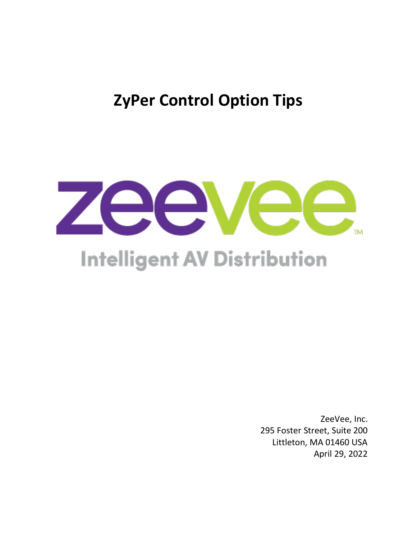**ZyPer Control Option Tips**



# **Intelligent AV Distribution**

ZeeVee, Inc. 295 Foster Street, Suite 200 Littleton, MA 01460 USA April 29, 2022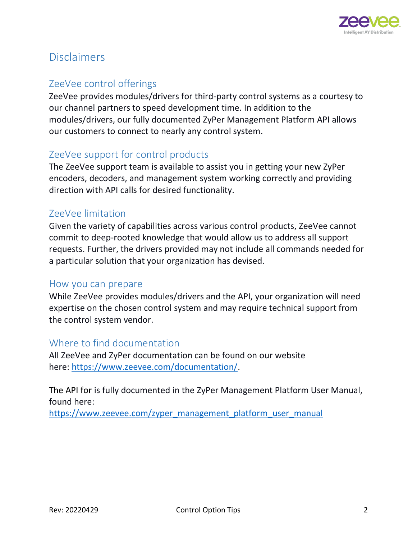

# <span id="page-1-0"></span>Disclaimers

### <span id="page-1-1"></span>ZeeVee control offerings

ZeeVee provides modules/drivers for third-party control systems as a courtesy to our channel partners to speed development time. In addition to the modules/drivers, our fully documented ZyPer Management Platform API allows our customers to connect to nearly any control system.

#### <span id="page-1-2"></span>ZeeVee support for control products

The ZeeVee support team is available to assist you in getting your new ZyPer encoders, decoders, and management system working correctly and providing direction with API calls for desired functionality.

#### <span id="page-1-3"></span>ZeeVee limitation

Given the variety of capabilities across various control products, ZeeVee cannot commit to deep-rooted knowledge that would allow us to address all support requests. Further, the drivers provided may not include all commands needed for a particular solution that your organization has devised.

#### <span id="page-1-4"></span>How you can prepare

While ZeeVee provides modules/drivers and the API, your organization will need expertise on the chosen control system and may require technical support from the control system vendor.

#### <span id="page-1-5"></span>Where to find documentation

All ZeeVee and ZyPer documentation can be found on our website here: [https://www.zeevee.com/documentation/.](https://www.zeevee.com/documentation/)

The API for is fully documented in the ZyPer Management Platform User Manual, found here:

[https://www.zeevee.com/zyper\\_management\\_platform\\_user\\_manual](https://www.zeevee.com/zyper_management_platform_user_manual)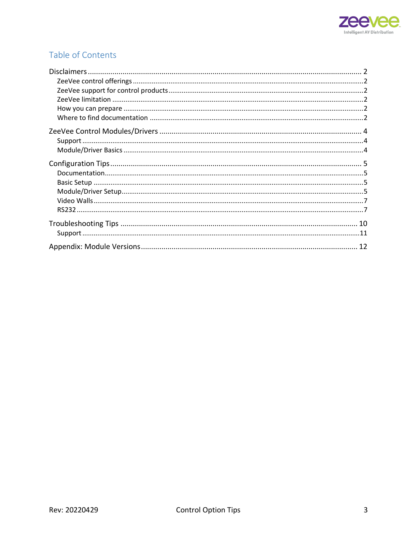

## Table of Contents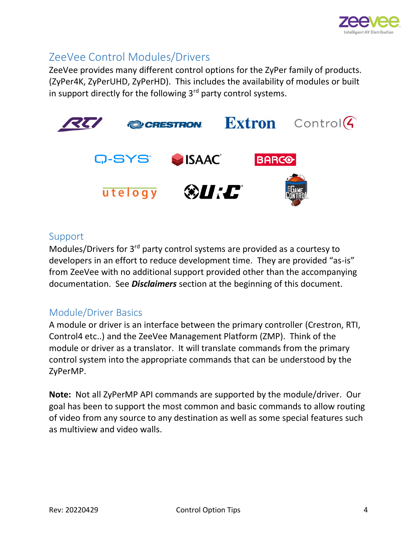

## <span id="page-3-0"></span>ZeeVee Control Modules/Drivers

ZeeVee provides many different control options for the ZyPer family of products. (ZyPer4K, ZyPerUHD, ZyPerHD). This includes the availability of modules or built in support directly for the following  $3<sup>rd</sup>$  party control systems.



#### <span id="page-3-1"></span>Support

Modules/Drivers for 3rd party control systems are provided as a courtesy to developers in an effort to reduce development time. They are provided "as-is" from ZeeVee with no additional support provided other than the accompanying documentation. See *Disclaimers* section at the beginning of this document.

#### <span id="page-3-2"></span>Module/Driver Basics

A module or driver is an interface between the primary controller (Crestron, RTI, Control4 etc..) and the ZeeVee Management Platform (ZMP). Think of the module or driver as a translator. It will translate commands from the primary control system into the appropriate commands that can be understood by the ZyPerMP.

**Note:** Not all ZyPerMP API commands are supported by the module/driver. Our goal has been to support the most common and basic commands to allow routing of video from any source to any destination as well as some special features such as multiview and video walls.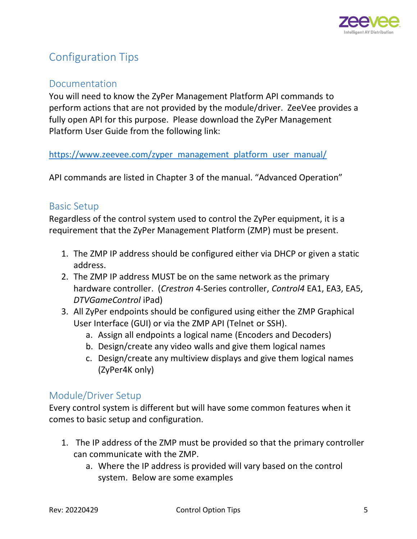

# <span id="page-4-0"></span>Configuration Tips

#### <span id="page-4-1"></span>Documentation

You will need to know the ZyPer Management Platform API commands to perform actions that are not provided by the module/driver. ZeeVee provides a fully open API for this purpose. Please download the ZyPer Management Platform User Guide from the following link:

[https://www.zeevee.com/zyper\\_management\\_platform\\_user\\_manual/](https://www.zeevee.com/zyper_management_platform_user_manual/)

API commands are listed in Chapter 3 of the manual. "Advanced Operation"

#### <span id="page-4-2"></span>Basic Setup

Regardless of the control system used to control the ZyPer equipment, it is a requirement that the ZyPer Management Platform (ZMP) must be present.

- 1. The ZMP IP address should be configured either via DHCP or given a static address.
- 2. The ZMP IP address MUST be on the same network as the primary hardware controller. (*Crestron* 4-Series controller, *Control4* EA1, EA3, EA5, *DTVGameControl* iPad)
- 3. All ZyPer endpoints should be configured using either the ZMP Graphical User Interface (GUI) or via the ZMP API (Telnet or SSH).
	- a. Assign all endpoints a logical name (Encoders and Decoders)
	- b. Design/create any video walls and give them logical names
	- c. Design/create any multiview displays and give them logical names (ZyPer4K only)

#### <span id="page-4-3"></span>Module/Driver Setup

Every control system is different but will have some common features when it comes to basic setup and configuration.

- 1. The IP address of the ZMP must be provided so that the primary controller can communicate with the ZMP.
	- a. Where the IP address is provided will vary based on the control system. Below are some examples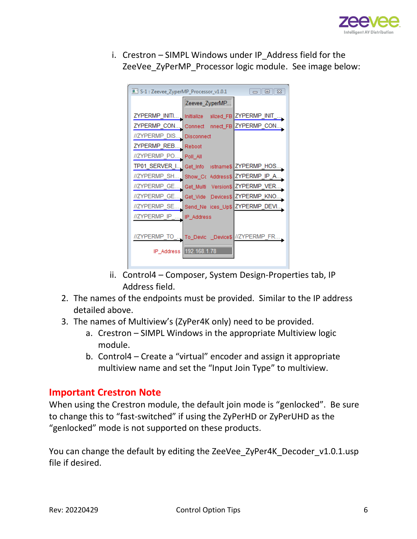

i. Crestron – SIMPL Windows under IP\_Address field for the ZeeVee\_ZyPerMP\_Processor logic module. See image below:

| S-1 : Zeevee_ZyperMP_Processor_v1.0.1<br>$\Box$ 0 $\Box$ |                                  |                         |  |  |  |
|----------------------------------------------------------|----------------------------------|-------------------------|--|--|--|
|                                                          | Zeevee_ZyperMP.                  |                         |  |  |  |
| ZYPERMP_INITI Initialize                                 |                                  | alized_FB ZYPERMP_INIT_ |  |  |  |
| ZYPERMP CON                                              | Connect                          | nnect_FB ZYPERMP_CON.   |  |  |  |
| //ZYPERMP DIS.                                           | Disconnect                       |                         |  |  |  |
| ZYPERMP REB                                              | Reboot                           |                         |  |  |  |
| //ZYPERMP PO                                             | Poll_All                         |                         |  |  |  |
| TP01_SERVER_I                                            | Get_Info                         | >stname\$ ZYPERMP_HOS   |  |  |  |
| //ZYPERMP_SH                                             | Show_Co Address\$ ZYPERMP_IP_A   |                         |  |  |  |
| //ZYPERMP GE.                                            | Get_Multi<br><b>VersionS</b>     | ZYPERMP VER             |  |  |  |
| //ZYPERMP GE.                                            | Get_Vide Devices\$ZYPERMP_KNO    |                         |  |  |  |
| //ZYPERMP SE.                                            | Send_Ne_ices_Up\$ ZYPERMP_DEVI.  |                         |  |  |  |
| //ZYPERMP IP                                             | IP_Address                       |                         |  |  |  |
|                                                          |                                  |                         |  |  |  |
| //ZYPERMP TO                                             | To_Devic _Device\$ //ZYPERMP_FR. |                         |  |  |  |
|                                                          | IP_Address   192.168.1.78        |                         |  |  |  |
|                                                          |                                  |                         |  |  |  |

- ii. Control4 Composer, System Design-Properties tab, IP Address field.
- 2. The names of the endpoints must be provided. Similar to the IP address detailed above.
- 3. The names of Multiview's (ZyPer4K only) need to be provided.
	- a. Crestron SIMPL Windows in the appropriate Multiview logic module.
	- b. Control4 Create a "virtual" encoder and assign it appropriate multiview name and set the "Input Join Type" to multiview.

#### **Important Crestron Note**

When using the Crestron module, the default join mode is "genlocked". Be sure to change this to "fast-switched" if using the ZyPerHD or ZyPerUHD as the "genlocked" mode is not supported on these products.

You can change the default by editing the ZeeVee\_ZyPer4K\_Decoder\_v1.0.1.usp file if desired.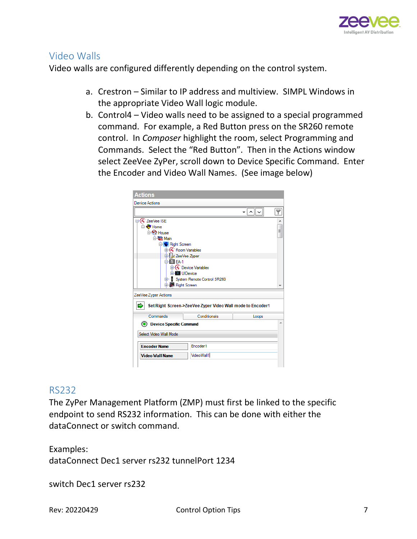

#### <span id="page-6-0"></span>Video Walls

Video walls are configured differently depending on the control system.

- a. Crestron Similar to IP address and multiview. SIMPL Windows in the appropriate Video Wall logic module.
- b. Control4 Video walls need to be assigned to a special programmed command. For example, a Red Button press on the SR260 remote control. In *Composer* highlight the room, select Programming and Commands. Select the "Red Button". Then in the Actions window select ZeeVee ZyPer, scroll down to Device Specific Command. Enter the Encoder and Video Wall Names. (See image below)



#### <span id="page-6-1"></span>RS232

The ZyPer Management Platform (ZMP) must first be linked to the specific endpoint to send RS232 information. This can be done with either the dataConnect or switch command.

Examples: dataConnect Dec1 server rs232 tunnelPort 1234

switch Dec1 server rs232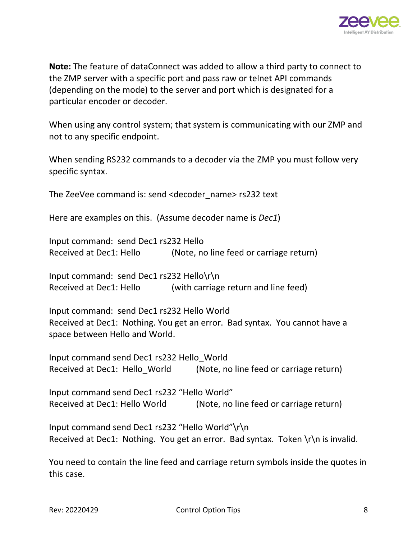

**Note:** The feature of dataConnect was added to allow a third party to connect to the ZMP server with a specific port and pass raw or telnet API commands (depending on the mode) to the server and port which is designated for a particular encoder or decoder.

When using any control system; that system is communicating with our ZMP and not to any specific endpoint.

When sending RS232 commands to a decoder via the ZMP you must follow very specific syntax.

The ZeeVee command is: send <decoder\_name> rs232 text

Here are examples on this. (Assume decoder name is *Dec1*)

Input command: send Dec1 rs232 Hello Received at Dec1: Hello (Note, no line feed or carriage return)

Input command: send Dec1 rs232 Hello\r\n Received at Dec1: Hello (with carriage return and line feed)

Input command: send Dec1 rs232 Hello World Received at Dec1: Nothing. You get an error. Bad syntax. You cannot have a space between Hello and World.

Input command send Dec1 rs232 Hello\_World Received at Dec1: Hello\_World (Note, no line feed or carriage return)

Input command send Dec1 rs232 "Hello World" Received at Dec1: Hello World (Note, no line feed or carriage return)

Input command send Dec1 rs232 "Hello World"\r\n Received at Dec1: Nothing. You get an error. Bad syntax. Token  $\lceil \cdot \rceil$ n is invalid.

You need to contain the line feed and carriage return symbols inside the quotes in this case.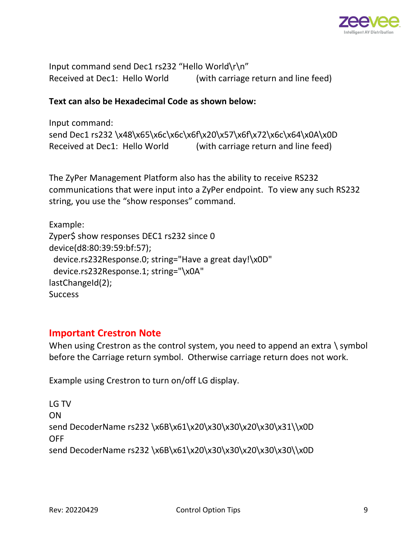

Input command send Dec1 rs232 "Hello World\r\n" Received at Dec1: Hello World (with carriage return and line feed)

#### **Text can also be Hexadecimal Code as shown below:**

```
Input command:
send Dec1 rs232 \x48\x65\x6c\x6c\x6f\x20\x57\x6f\x72\x6c\x64\x0A\x0D
Received at Dec1: Hello World (with carriage return and line feed)
```
The ZyPer Management Platform also has the ability to receive RS232 communications that were input into a ZyPer endpoint. To view any such RS232 string, you use the "show responses" command.

```
Example:
Zyper$ show responses DEC1 rs232 since 0
device(d8:80:39:59:bf:57);
  device.rs232Response.0; string="Have a great day!\x0D"
  device.rs232Response.1; string="\x0A"
lastChangeId(2);
Success
```
#### **Important Crestron Note**

When using Crestron as the control system, you need to append an extra \ symbol before the Carriage return symbol. Otherwise carriage return does not work.

Example using Crestron to turn on/off LG display.

```
LG TV
ON
send DecoderName rs232 \x6B\x61\x20\x30\x30\x20\x30\x31\\x0D
OFF
send DecoderName rs232 \x6B\x61\x20\x30\x30\x20\x30\x30\\x0D
```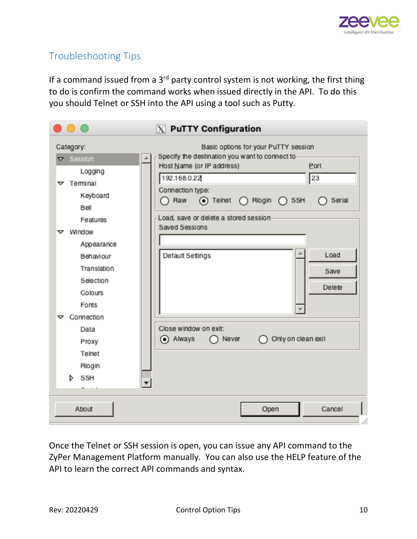

# <span id="page-9-0"></span>Troubleshooting Tips

If a command issued from a  $3<sup>rd</sup>$  party control system is not working, the first thing to do is confirm the command works when issued directly in the API. To do this you should Telnet or SSH into the API using a tool such as Putty.

|                                                                                                                                                                   | $X$ PuTTY Configuration                                                                                                                                                                                                                                           |
|-------------------------------------------------------------------------------------------------------------------------------------------------------------------|-------------------------------------------------------------------------------------------------------------------------------------------------------------------------------------------------------------------------------------------------------------------|
| Category:<br>$\nabla$ Session                                                                                                                                     | Basic options for your PuTTY session<br>Specify the destination you want to connect to-                                                                                                                                                                           |
| Logging<br>$\nabla$ Terminal<br>Keyboard<br>Bell<br>Features<br>$\triangledown$ Window<br>Appearance<br>Behaviour<br>Translation<br>Selection<br>Colours<br>Fonts | Host Name (or IP address)<br>Port<br>23<br>192.168.0.22<br>Connection type:<br>$\bigcap$ Raw<br>$\odot$ Telnet $\bigcap$ Riogin $\bigcap$ SSH<br>Serial<br>Load, save or delete a stored session-<br>Saved Sessions<br>Load<br>Default Settings<br>Save<br>Delete |
| Connection<br>ᢦ<br>Data<br>Proxy<br>Telnet<br>Rlogin<br>SSH<br>d                                                                                                  | Close window on exit:<br>always<br>Only on clean exit<br>Never                                                                                                                                                                                                    |
| About                                                                                                                                                             | Open<br>Cancel                                                                                                                                                                                                                                                    |

Once the Telnet or SSH session is open, you can issue any API command to the ZyPer Management Platform manually. You can also use the HELP feature of the API to learn the correct API commands and syntax.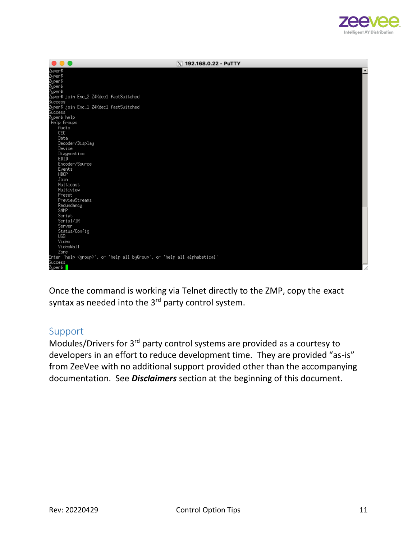

| .<br>$X$ 192.168.0.22 - PuTTY                                                                                          |  |
|------------------------------------------------------------------------------------------------------------------------|--|
| Zyper\$<br>Zyper\$<br>Zyper\$                                                                                          |  |
|                                                                                                                        |  |
|                                                                                                                        |  |
| Zyper\$                                                                                                                |  |
|                                                                                                                        |  |
|                                                                                                                        |  |
|                                                                                                                        |  |
| -<br>Zyper\$ join Enc_1 Z4Kdec1 fastSwitched<br>Success                                                                |  |
|                                                                                                                        |  |
| Zyper\$ help                                                                                                           |  |
| Help Groups<br>Audio                                                                                                   |  |
| <b>CEC</b>                                                                                                             |  |
| Data                                                                                                                   |  |
| Decoder/Display                                                                                                        |  |
| Device                                                                                                                 |  |
| Diagnostics                                                                                                            |  |
| EDID                                                                                                                   |  |
| Encoder/Source                                                                                                         |  |
| Events                                                                                                                 |  |
| HDCP                                                                                                                   |  |
| Join                                                                                                                   |  |
| Multicast                                                                                                              |  |
| Multiview                                                                                                              |  |
| Preset                                                                                                                 |  |
| PreviewStreams                                                                                                         |  |
| Redundancy<br><b>SNMP</b>                                                                                              |  |
| Script                                                                                                                 |  |
| Serial/IR                                                                                                              |  |
| Server                                                                                                                 |  |
| Status/Config                                                                                                          |  |
| <b>USB</b>                                                                                                             |  |
| Video                                                                                                                  |  |
| VideoWall                                                                                                              |  |
| Zone                                                                                                                   |  |
| Enter 'help <group>', or 'help all byGroup', or 'help all alphabetical'<br/>Success<br/>Zyper\$ <mark> </mark></group> |  |
|                                                                                                                        |  |
|                                                                                                                        |  |

Once the command is working via Telnet directly to the ZMP, copy the exact syntax as needed into the  $3<sup>rd</sup>$  party control system.

#### <span id="page-10-0"></span>Support

Modules/Drivers for 3rd party control systems are provided as a courtesy to developers in an effort to reduce development time. They are provided "as-is" from ZeeVee with no additional support provided other than the accompanying documentation. See *Disclaimers* section at the beginning of this document.